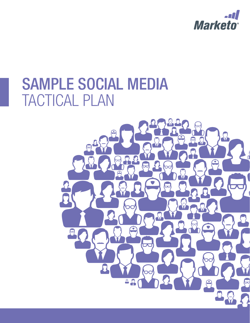

# SAMPLE SOCIAL MEDIA TACTICAL PLAN

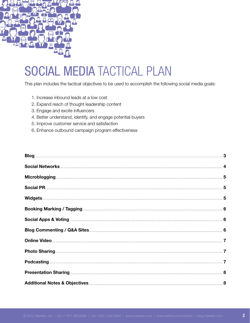

# SOCIAL MEDIA TACTICAL PLAN

This plan includes the tactical objectives to be used to accomplish the following social media goals:

- 1. Increase inbound leads at a low cost
- 2. Expand reach of thought leadership content
- 3. Engage and excite influencers
- 4. Better understand, identify, and engage potential buyers
- 5. Improve customer service and satisfaction
- 6. Enhance outbound campaign program effectiveness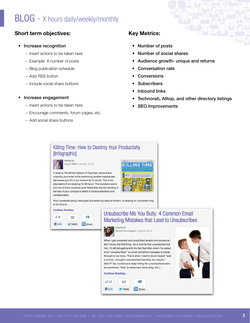### $BLOG - X$  hours daily/weekly/monthly

#### Short term objectives:

#### • Increase recognition

- − Insert actions to be taken here
- − Example: X number of posts
- − Blog publication schedule
- − Add RSS button
- − Include social share buttons

#### • Increase engagement

- − Insert actions to be taken here
- − Encourage comments, forum pages, etc.
- − Add social share buttons

#### Key Metrics:

- • Number of posts
- Number of social shares
- Audience growth- unique and returns
- **Conversation rate**
- **Conversions**
- **Subscribers**
- **Inbound links**
- Technorati, Alltop, and other directory listings
- **SEO Improvements**

### Killing Time: How to Destroy Your Productivity [Infographic]



lason Miller I July 24, 2012

A study at The British Institute of Psychiatry showed that checking your email while performing another creative task decreases your IQ in the moment by 10 points. That is the equivalent of not sleeping for 36 hours. This mundane task is just one of many everyday work habits that may be standing in the way of your company's efforts to boost productivity and increase sales.

| <b>GONN</b> OWN | Market                                                                                                                                                                                                                                                                        |
|-----------------|-------------------------------------------------------------------------------------------------------------------------------------------------------------------------------------------------------------------------------------------------------------------------------|
|                 | œ<br>u.                                                                                                                                                                                                                                                                       |
|                 | OW TO DESTROY YOUR PRODUCTLY                                                                                                                                                                                                                                                  |
|                 | manufactive species is a feasing productively and as more a since his inscription to be past<br>The image gives global possible dismatical. The new of components they would believe an a vertexity by attending to the<br>In East for a Efficer profession 1 fortunated them |
|                 | Permission and is a sent transport detection by the first model of<br>in the thousands conditions being on third subsequents in this at that you'll                                                                                                                           |
|                 | academiciated a deliver retirer and for Chedington would at<br>but convenies producer environment to the state of a health of a<br>of the context exces in forecaster provincity to a bar a selectional                                                                       |
|                 | э                                                                                                                                                                                                                                                                             |
|                 |                                                                                                                                                                                                                                                                               |
|                 | oliok                                                                                                                                                                                                                                                                         |
|                 |                                                                                                                                                                                                                                                                               |
|                 |                                                                                                                                                                                                                                                                               |

From constantly being interrupted and switching tasks at random, to creating an impossibly long to-do list and...

| டி8<br>32 |  |  | 13 |
|-----------|--|--|----|
|-----------|--|--|----|

#### Unsubscribe Me You Bully: 4 Common Email Marketing Mistakes that Lead to Unsubscribes



Ravali Ravulapati | July 20, 2012

When I get unwanted and unsolicited emails from someone I don't know, the first thing I do is look for the unsubscribe link. Yet, I'm still struggling with the fact that often when I've asked to be "unsubscribed," an email somehow manages to sneak through to my inbox. This is when I start to doubt myself. "wait a minute, I thought I unsubscribed last time, but maybe I didn't?" So, I continue to keep hitting the unsubscribe button, but somehow, "they" [a restaurant, store, blog, etc.]...

#### **Continue Reading**»



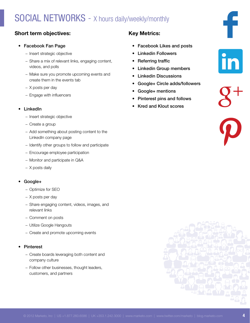### SOCIAL NETWORKS - X hours daily/weekly/monthly

#### Short term objectives:

#### • Facebook Fan Page

- − Insert strategic objective
- − Share a mix of relevant links, engaging content, videos, and polls
- − Make sure you promote upcoming events and create them in the events tab
- − X posts per day
- − Engage with influencers

#### **LinkedIn**

- − Insert strategic objective
- − Create a group
- − Add something about posting content to the LinkedIn company page
- − Identify other groups to follow and participate
- − Encourage employee participation
- − Monitor and participate in Q&A
- − X posts daily

#### Google+

- − Optimize for SEO
- − X posts per day
- − Share engaging content, videos, images, and relevant links
- − Comment on posts
- − Utilize Google Hangouts
- − Create and promote upcoming events

#### **Pinterest**

- − Create boards leveraging both content and company culture
- − Follow other businesses, thought leaders, customers, and partners

#### Key Metrics:

- Facebook Likes and posts
- **Linkedin Followers**
- **Referring traffic**
- **Linkedin Group members**
- • Linkedin Discussions
- Google+ Circle adds/followers
- Google+ mentions
- • Pinterest pins and follows
- **Kred and Klout scores**

in

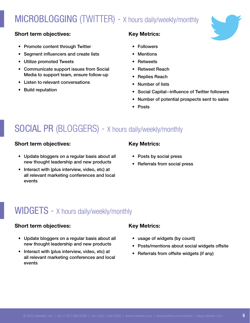## MICROBLOGGING (TWITTER) - X hours daily/weekly/monthly

#### Short term objectives:

- Promote content through Twitter
- • Segment influencers and create lists
- • Utilize promoted Tweets
- • Communicate support issues from Social Media to support team, ensure follow-up
- • Listen to relevant conversations
- • Build reputation

#### Key Metrics:

- • Followers
- **Mentions**
- **Retweets**
- • Retweet Reach
- • Replies Reach
- • Number of lists
- • Social Capital--influence of Twitter followers
- Number of potential prospects sent to sales
- **Posts**

### SOCIAL PR (BLOGGERS) - X hours daily/weekly/monthly

#### Short term objectives:

- Update bloggers on a regular basis about all new thought leadership and new products
- Interact with (plus interview, video, etc) at all relevant marketing conferences and local events

#### Key Metrics:

- Posts by social press
- • Referrals from social press

### WIDGETS - X hours daily/weekly/monthly

#### Short term objectives:

- Update bloggers on a regular basis about all new thought leadership and new products
- Interact with (plus interview, video, etc) at all relevant marketing conferences and local events

#### Key Metrics:

- usage of widgets (by count)
- Posts/mentions about social widgets offsite
- • Referrals from offsite widgets (if any)

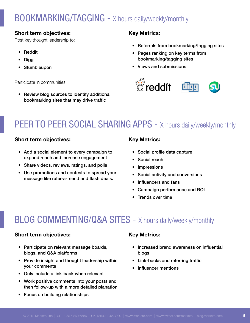### BOOKMARKING/TAGGING - X hours daily/weekly/monthly

#### Short term objectives:

Post key thought leadership to:

- • Reddit
- • Digg
- • Stumbleupon

Participate in communities:

• Review blog sources to identify additional bookmarking sites that may drive traffic

#### Key Metrics:

- Referrals from bookmarking/tagging sites
- Pages ranking on key terms from bookmarking/tagging sites
- • Views and submissions



### PEER TO PEER SOCIAL SHARING APPS - X hours daily/weekly/monthly

#### Short term objectives:

- Add a social element to every campaign to expand reach and increase engagement
- Share videos, reviews, ratings, and polls
- Use promotions and contests to spread your message like refer-a-friend and flash deals.

#### Key Metrics:

- • Social profile data capture
- Social reach
- • Impressions
- • Social activity and conversions
- Influencers and fans
- • Campaign performance and ROI
- Trends over time

### BLOG COMMENTING/Q&A SITES - X hours daily/weekly/monthly

#### Short term objectives:

- Participate on relevant message boards, blogs, and Q&A platforms
- Provide insight and thought leadership within your comments
- • Only include a link-back when relevant
- Work positive comments into your posts and then follow-up with a more detailed planation
- • Focus on building relationships

#### Key Metrics:

- Increased brand awareness on influential blogs
- • Link-backs and referring traffic
- Influencer mentions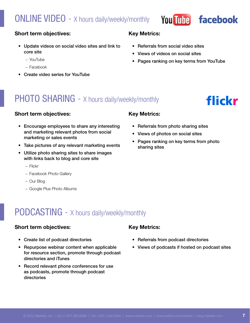### **ONLINE VIDEO** - X hours daily/weekly/monthly

Key Metrics:

- • Referrals from social video sites
- Views of videos on social sites
- Pages ranking on key terms from YouTube

**You Tube** 

facebook

flickr

#### Short term objectives:

- Update videos on social video sites and link to core site
	- − YouTube
	- − Facebook
- • Create video series for YouTube

### PHOTO SHARING - X hours daily/weekly/monthly

#### Short term objectives:

- Encourage employees to share any interesting and marketing relevant photos from social marketing or sales events
- Take pictures of any relevant marketing events
- • Utilize photo sharing sites to share images with links back to blog and core site
	- − Flickr
	- − Facebook Photo Gallery
	- − Our Blog
	- − Google Plus Photo Albums

#### Key Metrics:

- Referrals from photo sharing sites
- Views of photos on social sites
- Pages ranking on key terms from photo sharing sites

### PODCASTING - X hours daily/weekly/monthly

#### Short term objectives:

- • Create list of podcast directories
- Repurpose webinar content when applicable for resource section, promote through podcast directories and iTunes
- Record relevant phone conferences for use as podcasts, promote through podcast directories

#### Key Metrics:

- Referrals from podcast directories
- Views of podcasts if hosted on podcast sites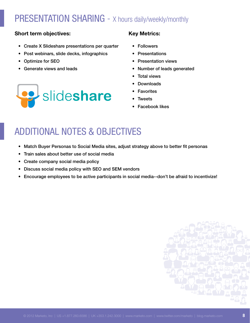### PRESENTATION SHARING - X hours daily/weekly/monthly

#### Short term objectives:

- Create X Slideshare presentations per quarter
- Post webinars, slide decks, infographics
- • Optimize for SEO
- • Generate views and leads



#### Key Metrics:

- • Followers
- **Presentations**
- **Presentation views**
- Number of leads generated
- **Total views**
- Downloads
- **Favorites**
- **Tweets**
- **Facebook likes**

### additional notes & objectives

- Match Buyer Personas to Social Media sites, adjust strategy above to better fit personas
- Train sales about better use of social media
- • Create company social media policy
- Discuss social media policy with SEO and SEM vendors
- • Encourage employees to be active participants in social media--don't be afraid to incentivize!

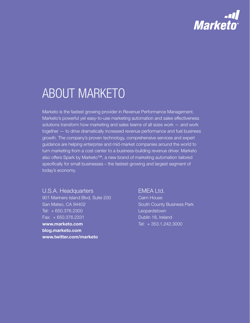

# About Marketo

Marketo is the fastest growing provider in Revenue Performance Management. Marketo's powerful yet easy-to-use marketing automation and sales effectiveness solutions transform how marketing and sales teams of all sizes work — and work together — to drive dramatically increased revenue performance and fuel business growth. The company's proven technology, comprehensive services and expert guidance are helping enterprise and mid-market companies around the world to turn marketing from a cost center to a business-building revenue driver. Marketo also offers Spark by Marketo™, a new brand of marketing automation tailored specifically for small businesses – the fastest-growing and largest segment of today's economy.

#### U.S.A. Headquarters

901 Mariners Island Blvd, Suite 200 San Mateo, CA 94402 Tel: + 650.376.2300 Fax: + 650.376.2331 [www.marketo.com](http://www.marketo.com) [blog.marketo.com](http://blog.marketo.com) [www.twitter.com/marketo](http://www.twitter.com/marketo)

#### EMEA Ltd.

Cairn House South County Business Park **Leopardstown** Dublin 18, Ireland Tel: + 353.1.242.3000